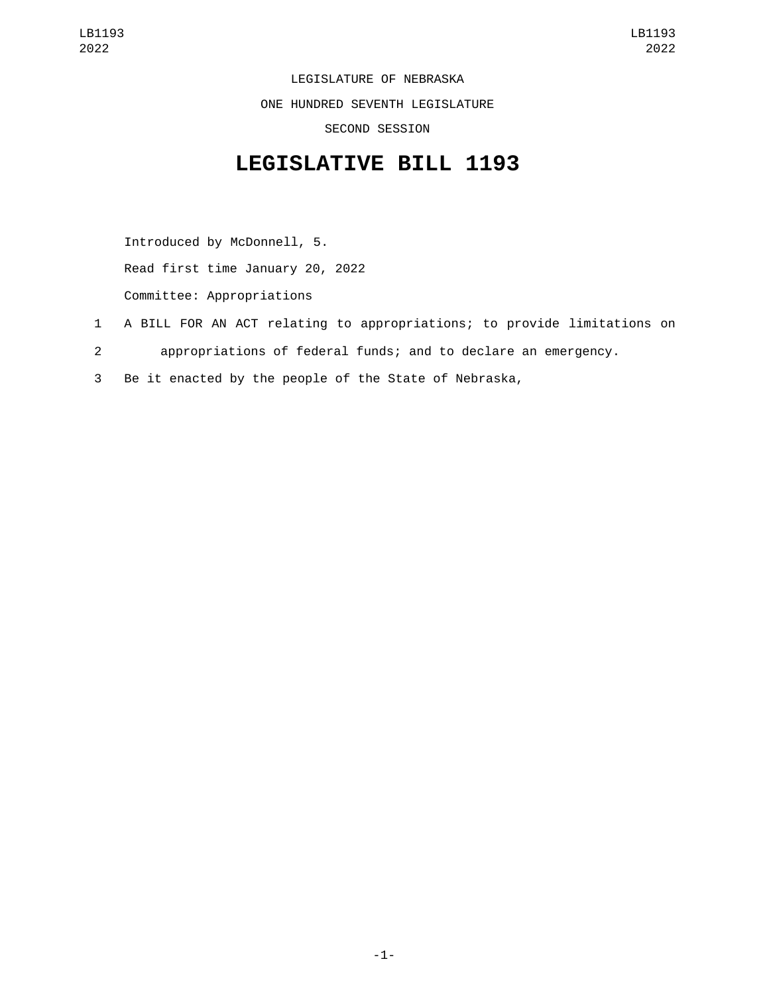LEGISLATURE OF NEBRASKA ONE HUNDRED SEVENTH LEGISLATURE SECOND SESSION

## **LEGISLATIVE BILL 1193**

Introduced by McDonnell, 5. Read first time January 20, 2022 Committee: Appropriations

- 1 A BILL FOR AN ACT relating to appropriations; to provide limitations on
- 2 appropriations of federal funds; and to declare an emergency.
- 3 Be it enacted by the people of the State of Nebraska,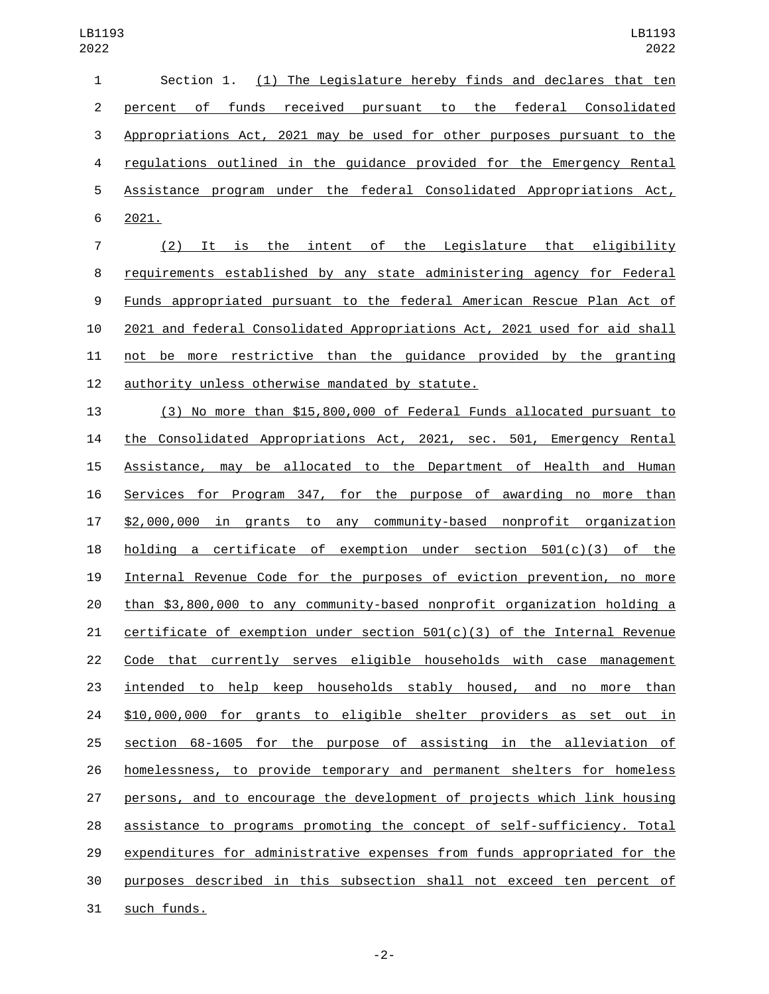| 1              | (1) The Legislature hereby finds and declares that ten<br>Section 1.       |
|----------------|----------------------------------------------------------------------------|
| $\overline{2}$ | percent of funds<br>received pursuant to the federal Consolidated          |
| 3              | Appropriations Act, 2021 may be used for other purposes pursuant to the    |
| 4              | regulations outlined in the guidance provided for the Emergency Rental     |
| 5              | Assistance program under the federal Consolidated Appropriations Act,      |
| 6              | 2021.                                                                      |
| $\overline{7}$ | It is the intent of the Legislature that eligibility<br>(2)                |
| 8              | requirements established by any state administering agency for Federal     |
| 9              | Funds appropriated pursuant to the federal American Rescue Plan Act of     |
| 10             | 2021 and federal Consolidated Appropriations Act, 2021 used for aid shall  |
| 11             | be more restrictive than the guidance provided by the granting<br>not      |
| 12             | authority unless otherwise mandated by statute.                            |
| 13             | (3) No more than \$15,800,000 of Federal Funds allocated pursuant to       |
| 14             | the Consolidated Appropriations Act, 2021, sec. 501, Emergency Rental      |
| 15             | be allocated to the Department of Health and Human<br>Assistance, may      |
| 16             | Services for Program 347, for the purpose of awarding no more than         |
| 17             | \$2,000,000 in grants to any community-based nonprofit organization        |
| 18             | a certificate of exemption under section 501(c)(3) of the<br>holding       |
| 19             | Internal Revenue Code for the purposes of eviction prevention, no more     |
| 20             | than \$3,800,000 to any community-based nonprofit organization holding a   |
| 21             | certificate of exemption under section $501(c)(3)$ of the Internal Revenue |
| 22             | Code that currently serves eligible households with case management        |
| 23             | intended to help keep households stably housed, and no more than           |
| 24             | \$10,000,000 for grants to eligible shelter providers as set out in        |
| 25             | section 68-1605 for the purpose of assisting in the alleviation of         |
| 26             | homelessness, to provide temporary and permanent shelters for homeless     |
| 27             | persons, and to encourage the development of projects which link housing   |
| 28             | assistance to programs promoting the concept of self-sufficiency. Total    |
| 29             | expenditures for administrative expenses from funds appropriated for the   |
| 30             | purposes described in this subsection shall not exceed ten percent of      |
|                |                                                                            |

31 such funds.